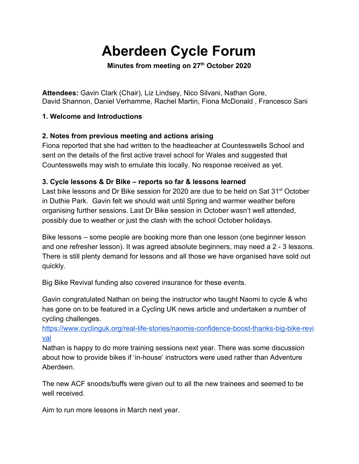# **Aberdeen Cycle Forum**

**Minutes from meeting on 27th October 2020**

**Attendees:** Gavin Clark (Chair), Liz Lindsey, Nico Silvani, Nathan Gore, David Shannon, Daniel Verhamme, Rachel Martin, Fiona McDonald , Francesco Sani

#### **1. Welcome and Introductions**

### **2. Notes from previous meeting and actions arising**

Fiona reported that she had written to the headteacher at Countesswells School and sent on the details of the first active travel school for Wales and suggested that Countesswells may wish to emulate this locally. No response received as yet.

### **3. Cycle lessons & Dr Bike – reports so far & lessons learned**

Last bike lessons and Dr Bike session for 2020 are due to be held on Sat 31<sup>st</sup> October in Duthie Park. Gavin felt we should wait until Spring and warmer weather before organising further sessions. Last Dr Bike session in October wasn't well attended, possibly due to weather or just the clash with the school October holidays.

Bike lessons – some people are booking more than one lesson (one beginner lesson and one refresher lesson). It was agreed absolute beginners, may need a 2 - 3 lessons. There is still plenty demand for lessons and all those we have organised have sold out quickly.

Big Bike Revival funding also covered insurance for these events.

Gavin congratulated Nathan on being the instructor who taught Naomi to cycle & who has gone on to be featured in a Cycling UK news article and undertaken a number of cycling challenges[.](https://www.cyclinguk.org/real-life-stories/naomis-confidence-boost-thanks-big-bike-revival)

[https://www.cyclinguk.org/real-life-stories/naomis-confidence-boost-thanks-big-bike-revi](https://www.cyclinguk.org/real-life-stories/naomis-confidence-boost-thanks-big-bike-revival) [val](https://www.cyclinguk.org/real-life-stories/naomis-confidence-boost-thanks-big-bike-revival)

Nathan is happy to do more training sessions next year. There was some discussion about how to provide bikes if 'in-house' instructors were used rather than Adventure Aberdeen.

The new ACF snoods/buffs were given out to all the new trainees and seemed to be well received.

Aim to run more lessons in March next year.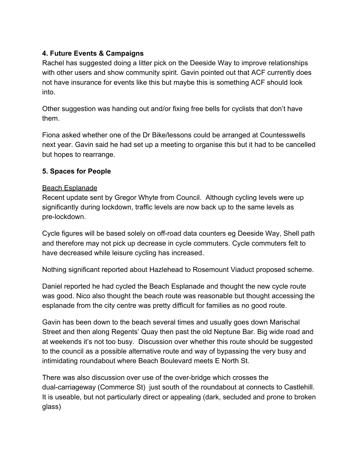#### **4. Future Events & Campaigns**

Rachel has suggested doing a litter pick on the Deeside Way to improve relationships with other users and show community spirit. Gavin pointed out that ACF currently does not have insurance for events like this but maybe this is something ACF should look into.

Other suggestion was handing out and/or fixing free bells for cyclists that don't have them.

Fiona asked whether one of the Dr Bike/lessons could be arranged at Countesswells next year. Gavin said he had set up a meeting to organise this but it had to be cancelled but hopes to rearrange.

#### **5. Spaces for People**

#### Beach Esplanade

Recent update sent by Gregor Whyte from Council. Although cycling levels were up significantly during lockdown, traffic levels are now back up to the same levels as pre-lockdown.

Cycle figures will be based solely on off-road data counters eg Deeside Way, Shell path and therefore may not pick up decrease in cycle commuters. Cycle commuters felt to have decreased while leisure cycling has increased.

Nothing significant reported about Hazlehead to Rosemount Viaduct proposed scheme.

Daniel reported he had cycled the Beach Esplanade and thought the new cycle route was good. Nico also thought the beach route was reasonable but thought accessing the esplanade from the city centre was pretty difficult for families as no good route.

Gavin has been down to the beach several times and usually goes down Marischal Street and then along Regents' Quay then past the old Neptune Bar. Big wide road and at weekends it's not too busy. Discussion over whether this route should be suggested to the council as a possible alternative route and way of bypassing the very busy and intimidating roundabout where Beach Boulevard meets E North St.

There was also discussion over use of the over-bridge which crosses the dual-carriageway (Commerce St) just south of the roundabout at connects to Castlehill. It is useable, but not particularly direct or appealing (dark, secluded and prone to broken glass)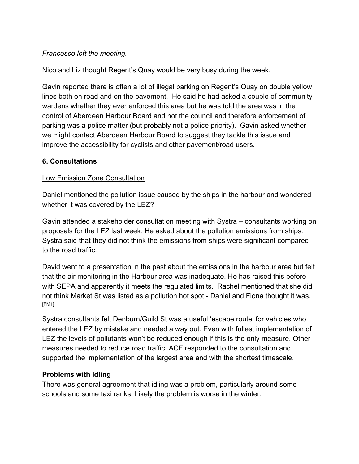#### *Francesco left the meeting.*

Nico and Liz thought Regent's Quay would be very busy during the week.

Gavin reported there is often a lot of illegal parking on Regent's Quay on double yellow lines both on road and on the pavement. He said he had asked a couple of community wardens whether they ever enforced this area but he was told the area was in the control of Aberdeen Harbour Board and not the council and therefore enforcement of parking was a police matter (but probably not a police priority). Gavin asked whether we might contact Aberdeen Harbour Board to suggest they tackle this issue and improve the accessibility for cyclists and other pavement/road users.

#### **6. Consultations**

#### Low Emission Zone Consultation

Daniel mentioned the pollution issue caused by the ships in the harbour and wondered whether it was covered by the LEZ?

Gavin attended a stakeholder consultation meeting with Systra – consultants working on proposals for the LEZ last week. He asked about the pollution emissions from ships. Systra said that they did not think the emissions from ships were significant compared to the road traffic.

David went to a presentation in the past about the emissions in the harbour area but felt that the air monitoring in the Harbour area was inadequate. He has raised this before with SEPA and apparently it meets the regulated limits. Rachel mentioned that she did not think Market St was listed as a pollution hot spot - Daniel and Fiona thought it was. [FM1]

Systra consultants felt Denburn/Guild St was a useful 'escape route' for vehicles who entered the LEZ by mistake and needed a way out. Even with fullest implementation of LEZ the levels of pollutants won't be reduced enough if this is the only measure. Other measures needed to reduce road traffic. ACF responded to the consultation and supported the implementation of the largest area and with the shortest timescale.

## **Problems with Idling**

There was general agreement that idling was a problem, particularly around some schools and some taxi ranks. Likely the problem is worse in the winter.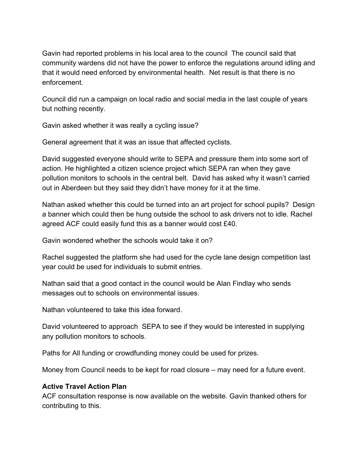Gavin had reported problems in his local area to the council The council said that community wardens did not have the power to enforce the regulations around idling and that it would need enforced by environmental health. Net result is that there is no enforcement.

Council did run a campaign on local radio and social media in the last couple of years but nothing recently.

Gavin asked whether it was really a cycling issue?

General agreement that it was an issue that affected cyclists.

David suggested everyone should write to SEPA and pressure them into some sort of action. He highlighted a citizen science project which SEPA ran when they gave pollution monitors to schools in the central belt. David has asked why it wasn't carried out in Aberdeen but they said they didn't have money for it at the time.

Nathan asked whether this could be turned into an art project for school pupils? Design a banner which could then be hung outside the school to ask drivers not to idle. Rachel agreed ACF could easily fund this as a banner would cost £40.

Gavin wondered whether the schools would take it on?

Rachel suggested the platform she had used for the cycle lane design competition last year could be used for individuals to submit entries.

Nathan said that a good contact in the council would be Alan Findlay who sends messages out to schools on environmental issues.

Nathan volunteered to take this idea forward.

David volunteered to approach SEPA to see if they would be interested in supplying any pollution monitors to schools.

Paths for All funding or crowdfunding money could be used for prizes.

Money from Council needs to be kept for road closure – may need for a future event.

#### **Active Travel Action Plan**

ACF consultation response is now available on the website. Gavin thanked others for contributing to this.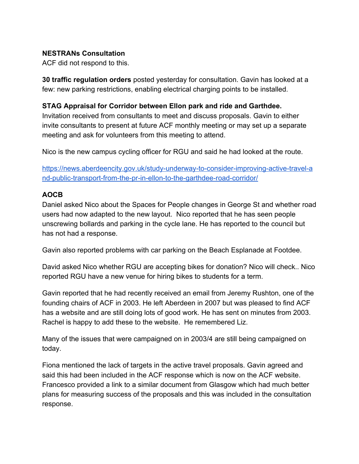#### **NESTRANs Consultation**

ACF did not respond to this.

**30 traffic regulation orders** posted yesterday for consultation. Gavin has looked at a few: new parking restrictions, enabling electrical charging points to be installed.

#### **STAG Appraisal for Corridor between Ellon park and ride and Garthdee.**

Invitation received from consultants to meet and discuss proposals. Gavin to either invite consultants to present at future ACF monthly meeting or may set up a separate meeting and ask for volunteers from this meeting to attend.

Nico is the new campus cycling officer for RGU and said he had looked at the route.

[https://news.aberdeencity.gov.uk/study-underway-to-consider-improving-active-travel-a](https://news.aberdeencity.gov.uk/study-underway-to-consider-improving-active-travel-and-public-transport-from-the-pr-in-ellon-to-the-garthdee-road-corridor/) [nd-public-transport-from-the-pr-in-ellon-to-the-garthdee-road-corridor/](https://news.aberdeencity.gov.uk/study-underway-to-consider-improving-active-travel-and-public-transport-from-the-pr-in-ellon-to-the-garthdee-road-corridor/)

#### **AOCB**

Daniel asked Nico about the Spaces for People changes in George St and whether road users had now adapted to the new layout. Nico reported that he has seen people unscrewing bollards and parking in the cycle lane. He has reported to the council but has not had a response.

Gavin also reported problems with car parking on the Beach Esplanade at Footdee.

David asked Nico whether RGU are accepting bikes for donation? Nico will check.. Nico reported RGU have a new venue for hiring bikes to students for a term.

Gavin reported that he had recently received an email from Jeremy Rushton, one of the founding chairs of ACF in 2003. He left Aberdeen in 2007 but was pleased to find ACF has a website and are still doing lots of good work. He has sent on minutes from 2003. Rachel is happy to add these to the website. He remembered Liz.

Many of the issues that were campaigned on in 2003/4 are still being campaigned on today.

Fiona mentioned the lack of targets in the active travel proposals. Gavin agreed and said this had been included in the ACF response which is now on the ACF website. Francesco provided a link to a similar document from Glasgow which had much better plans for measuring success of the proposals and this was included in the consultation response.